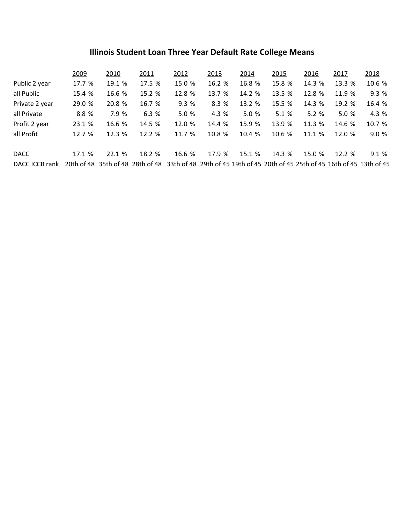## **Illinois Student Loan Three Year Default Rate College Means**

|                                                                                                                              | 2009   | 2010   | 2011   | 2012   | 2013   | 2014   | 2015   | 2016   | 2017   | 2018   |
|------------------------------------------------------------------------------------------------------------------------------|--------|--------|--------|--------|--------|--------|--------|--------|--------|--------|
| Public 2 year                                                                                                                | 17.7 % | 19.1 % | 17.5 % | 15.0 % | 16.2 % | 16.8 % | 15.8 % | 14.3 % | 13.3 % | 10.6 % |
| all Public                                                                                                                   | 15.4 % | 16.6 % | 15.2 % | 12.8 % | 13.7 % | 14.2 % | 13.5 % | 12.8 % | 11.9 % | 9.3 %  |
| Private 2 year                                                                                                               | 29.0 % | 20.8 % | 16.7 % | 9.3%   | 8.3 %  | 13.2 % | 15.5 % | 14.3 % | 19.2 % | 16.4 % |
| all Private                                                                                                                  | 8.8 %  | 7.9 %  | 6.3%   | 5.0 %  | 4.3 %  | 5.0 %  | 5.1%   | 5.2%   | 5.0 %  | 4.3 %  |
| Profit 2 year                                                                                                                | 23.1 % | 16.6 % | 14.5 % | 12.0 % | 14.4 % | 15.9 % | 13.9 % | 11.3 % | 14.6 % | 10.7 % |
| all Profit                                                                                                                   | 12.7 % | 12.3 % | 12.2 % | 11.7 % | 10.8 % | 10.4 % | 10.6 % | 11.1 % | 12.0%  | 9.0 %  |
| <b>DACC</b>                                                                                                                  | 17.1%  | 22.1%  | 18.2 % | 16.6 % | 17.9 % | 15.1 % | 14.3 % | 15.0 % | 12.2%  | 9.1%   |
| DACC ICCB rank 20th of 48 35th of 48 28th of 48 33th of 48 29th of 45 19th of 45 20th of 45 25th of 45 16th of 45 13th of 45 |        |        |        |        |        |        |        |        |        |        |